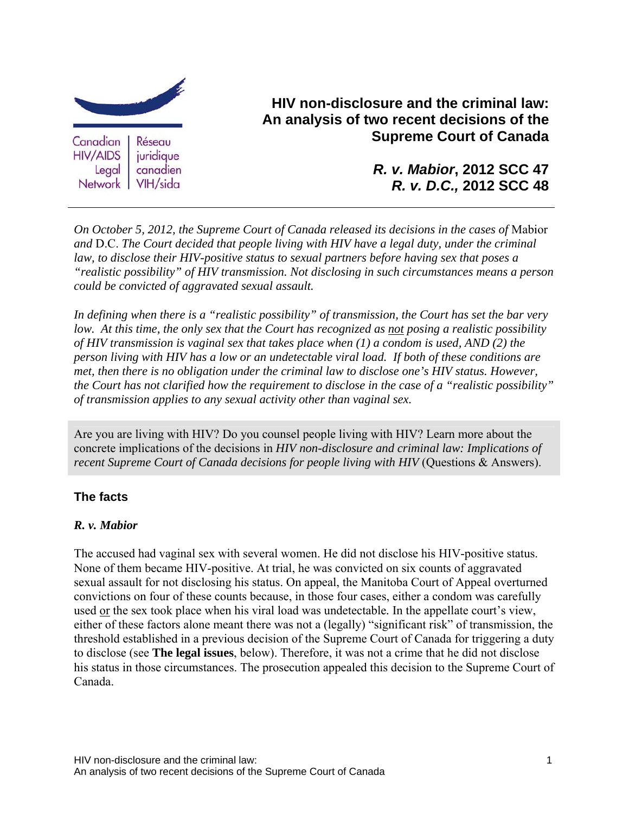

**HIV non-disclosure and the criminal law: An analysis of two recent decisions of the Supreme Court of Canada**

> *R. v. Mabior***, 2012 SCC 47** *R. v. D.C.,* **2012 SCC 48**

*On October 5, 2012, the Supreme Court of Canada released its decisions in the cases of* Mabior *and* D.C. *The Court decided that people living with HIV have a legal duty, under the criminal law, to disclose their HIV-positive status to sexual partners before having sex that poses a "realistic possibility" of HIV transmission. Not disclosing in such circumstances means a person could be convicted of aggravated sexual assault.* 

*In defining when there is a "realistic possibility" of transmission, the Court has set the bar very low. At this time, the only sex that the Court has recognized as not posing a realistic possibility of HIV transmission is vaginal sex that takes place when (1) a condom is used, AND (2) the person living with HIV has a low or an undetectable viral load. If both of these conditions are met, then there is no obligation under the criminal law to disclose one's HIV status. However, the Court has not clarified how the requirement to disclose in the case of a "realistic possibility" of transmission applies to any sexual activity other than vaginal sex.* 

Are you are living with HIV? Do you counsel people living with HIV? Learn more about the concrete implications of the decisions in *HIV non-disclosure and criminal law: Implications of recent Supreme Court of Canada decisions for people living with HIV* (Questions & Answers).

#### **The facts**

#### *R. v. Mabior*

The accused had vaginal sex with several women. He did not disclose his HIV-positive status. None of them became HIV-positive. At trial, he was convicted on six counts of aggravated sexual assault for not disclosing his status. On appeal, the Manitoba Court of Appeal overturned convictions on four of these counts because, in those four cases, either a condom was carefully used or the sex took place when his viral load was undetectable*.* In the appellate court's view, either of these factors alone meant there was not a (legally) "significant risk" of transmission, the threshold established in a previous decision of the Supreme Court of Canada for triggering a duty to disclose (see **The legal issues**, below). Therefore, it was not a crime that he did not disclose his status in those circumstances. The prosecution appealed this decision to the Supreme Court of Canada.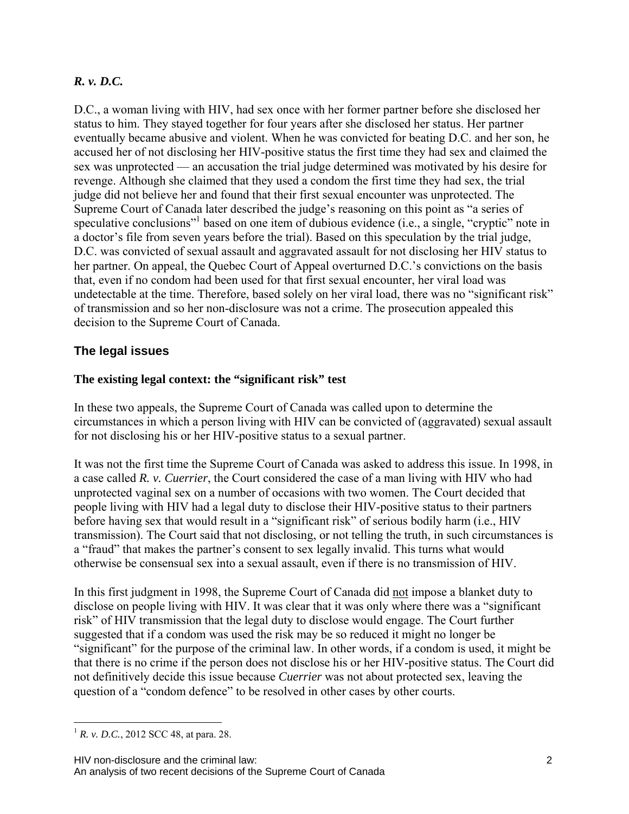# *R. v. D.C.*

D.C., a woman living with HIV, had sex once with her former partner before she disclosed her status to him. They stayed together for four years after she disclosed her status. Her partner eventually became abusive and violent. When he was convicted for beating D.C. and her son, he accused her of not disclosing her HIV-positive status the first time they had sex and claimed the sex was unprotected — an accusation the trial judge determined was motivated by his desire for revenge. Although she claimed that they used a condom the first time they had sex, the trial judge did not believe her and found that their first sexual encounter was unprotected. The Supreme Court of Canada later described the judge's reasoning on this point as "a series of speculative conclusions"<sup>1</sup> based on one item of dubious evidence (i.e., a single, "cryptic" note in a doctor's file from seven years before the trial). Based on this speculation by the trial judge, D.C. was convicted of sexual assault and aggravated assault for not disclosing her HIV status to her partner. On appeal, the Quebec Court of Appeal overturned D.C.'s convictions on the basis that, even if no condom had been used for that first sexual encounter, her viral load was undetectable at the time. Therefore, based solely on her viral load, there was no "significant risk" of transmission and so her non-disclosure was not a crime. The prosecution appealed this decision to the Supreme Court of Canada.

### **The legal issues**

#### **The existing legal context: the "significant risk" test**

In these two appeals, the Supreme Court of Canada was called upon to determine the circumstances in which a person living with HIV can be convicted of (aggravated) sexual assault for not disclosing his or her HIV-positive status to a sexual partner.

It was not the first time the Supreme Court of Canada was asked to address this issue. In 1998, in a case called *R. v. Cuerrier*, the Court considered the case of a man living with HIV who had unprotected vaginal sex on a number of occasions with two women. The Court decided that people living with HIV had a legal duty to disclose their HIV-positive status to their partners before having sex that would result in a "significant risk" of serious bodily harm (i.e., HIV transmission). The Court said that not disclosing, or not telling the truth, in such circumstances is a "fraud" that makes the partner's consent to sex legally invalid. This turns what would otherwise be consensual sex into a sexual assault, even if there is no transmission of HIV.

In this first judgment in 1998, the Supreme Court of Canada did not impose a blanket duty to disclose on people living with HIV. It was clear that it was only where there was a "significant risk" of HIV transmission that the legal duty to disclose would engage. The Court further suggested that if a condom was used the risk may be so reduced it might no longer be "significant" for the purpose of the criminal law. In other words, if a condom is used, it might be that there is no crime if the person does not disclose his or her HIV-positive status. The Court did not definitively decide this issue because *Cuerrier* was not about protected sex, leaving the question of a "condom defence" to be resolved in other cases by other courts.

 $\overline{a}$  $^{1}$  *R. v. D.C.*, 2012 SCC 48, at para. 28.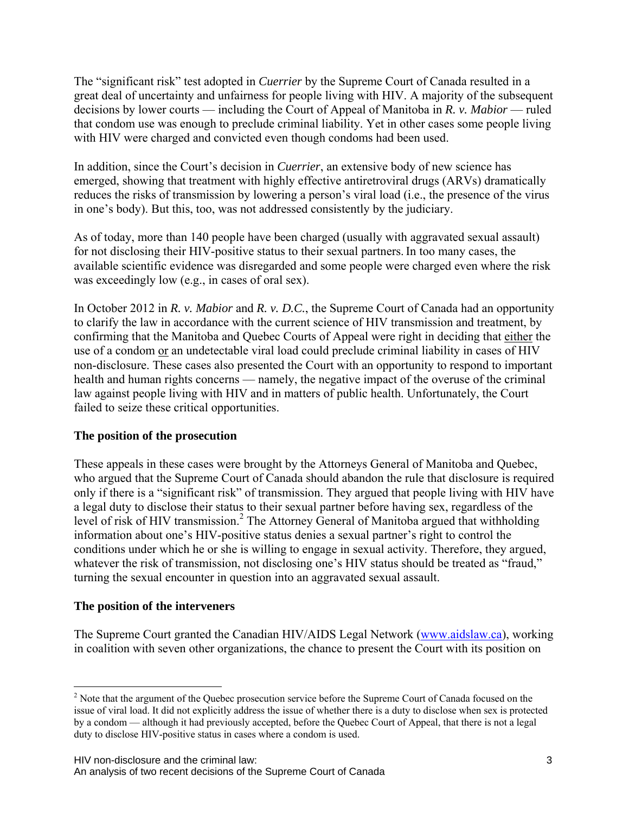The "significant risk" test adopted in *Cuerrier* by the Supreme Court of Canada resulted in a great deal of uncertainty and unfairness for people living with HIV. A majority of the subsequent decisions by lower courts — including the Court of Appeal of Manitoba in *R. v. Mabior* — ruled that condom use was enough to preclude criminal liability. Yet in other cases some people living with HIV were charged and convicted even though condoms had been used.

In addition, since the Court's decision in *Cuerrier*, an extensive body of new science has emerged, showing that treatment with highly effective antiretroviral drugs (ARVs) dramatically reduces the risks of transmission by lowering a person's viral load (i.e., the presence of the virus in one's body). But this, too, was not addressed consistently by the judiciary.

As of today, more than 140 people have been charged (usually with aggravated sexual assault) for not disclosing their HIV-positive status to their sexual partners.In too many cases, the available scientific evidence was disregarded and some people were charged even where the risk was exceedingly low (e.g., in cases of oral sex).

In October 2012 in *R. v. Mabior* and *R. v. D.C.*, the Supreme Court of Canada had an opportunity to clarify the law in accordance with the current science of HIV transmission and treatment, by confirming that the Manitoba and Quebec Courts of Appeal were right in deciding that either the use of a condom or an undetectable viral load could preclude criminal liability in cases of HIV non-disclosure. These cases also presented the Court with an opportunity to respond to important health and human rights concerns — namely, the negative impact of the overuse of the criminal law against people living with HIV and in matters of public health. Unfortunately, the Court failed to seize these critical opportunities.

#### **The position of the prosecution**

These appeals in these cases were brought by the Attorneys General of Manitoba and Quebec, who argued that the Supreme Court of Canada should abandon the rule that disclosure is required only if there is a "significant risk" of transmission. They argued that people living with HIV have a legal duty to disclose their status to their sexual partner before having sex, regardless of the level of risk of HIV transmission.<sup>2</sup> The Attorney General of Manitoba argued that withholding information about one's HIV-positive status denies a sexual partner's right to control the conditions under which he or she is willing to engage in sexual activity. Therefore, they argued, whatever the risk of transmission, not disclosing one's HIV status should be treated as "fraud," turning the sexual encounter in question into an aggravated sexual assault.

#### **The position of the interveners**

<u>.</u>

The Supreme Court granted the Canadian HIV/AIDS Legal Network (www.aidslaw.ca), working in coalition with seven other organizations, the chance to present the Court with its position on

 $2<sup>2</sup>$  Note that the argument of the Quebec prosecution service before the Supreme Court of Canada focused on the issue of viral load. It did not explicitly address the issue of whether there is a duty to disclose when sex is protected by a condom — although it had previously accepted, before the Quebec Court of Appeal, that there is not a legal duty to disclose HIV-positive status in cases where a condom is used.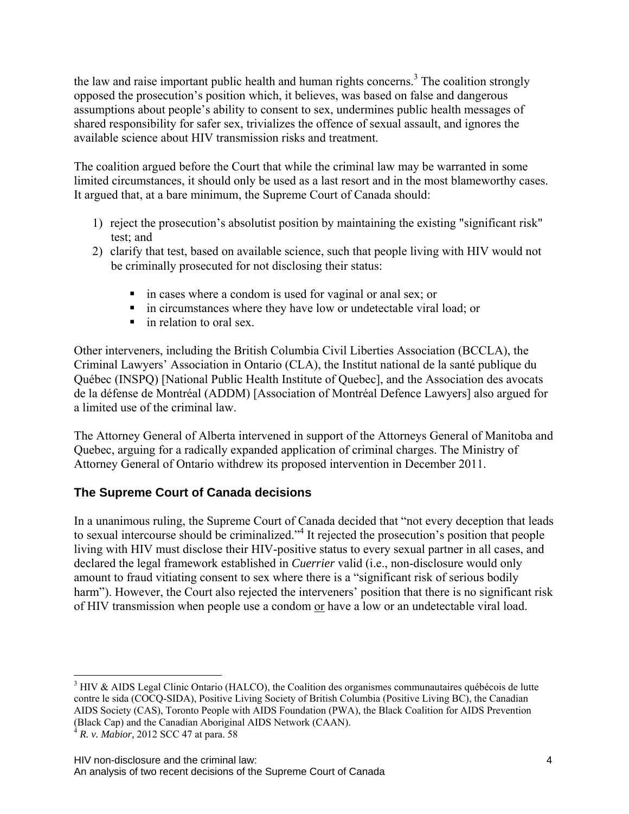the law and raise important public health and human rights concerns.<sup>3</sup> The coalition strongly opposed the prosecution's position which, it believes, was based on false and dangerous assumptions about people's ability to consent to sex, undermines public health messages of shared responsibility for safer sex, trivializes the offence of sexual assault, and ignores the available science about HIV transmission risks and treatment.

The coalition argued before the Court that while the criminal law may be warranted in some limited circumstances, it should only be used as a last resort and in the most blameworthy cases. It argued that, at a bare minimum, the Supreme Court of Canada should:

- 1) reject the prosecution's absolutist position by maintaining the existing "significant risk" test; and
- 2) clarify that test, based on available science, such that people living with HIV would not be criminally prosecuted for not disclosing their status:
	- in cases where a condom is used for vaginal or anal sex; or
	- in circumstances where they have low or undetectable viral load; or
	- in relation to oral sex.

Other interveners, including the British Columbia Civil Liberties Association (BCCLA), the Criminal Lawyers' Association in Ontario (CLA), the Institut national de la santé publique du Québec (INSPQ) [National Public Health Institute of Quebec], and the Association des avocats de la défense de Montréal (ADDM) [Association of Montréal Defence Lawyers] also argued for a limited use of the criminal law.

The Attorney General of Alberta intervened in support of the Attorneys General of Manitoba and Quebec, arguing for a radically expanded application of criminal charges. The Ministry of Attorney General of Ontario withdrew its proposed intervention in December 2011.

# **The Supreme Court of Canada decisions**

In a unanimous ruling, the Supreme Court of Canada decided that "not every deception that leads to sexual intercourse should be criminalized."<sup>4</sup> It rejected the prosecution's position that people living with HIV must disclose their HIV-positive status to every sexual partner in all cases, and declared the legal framework established in *Cuerrier* valid (i.e., non-disclosure would only amount to fraud vitiating consent to sex where there is a "significant risk of serious bodily harm"). However, the Court also rejected the interveners' position that there is no significant risk of HIV transmission when people use a condom or have a low or an undetectable viral load.

 $\overline{a}$ 

 $3$  HIV & AIDS Legal Clinic Ontario (HALCO), the Coalition des organismes communautaires québécois de lutte contre le sida (COCQ-SIDA), Positive Living Society of British Columbia (Positive Living BC), the Canadian AIDS Society (CAS), Toronto People with AIDS Foundation (PWA), the Black Coalition for AIDS Prevention (Black Cap) and the Canadian Aboriginal AIDS Network (CAAN).

<sup>4</sup> *R. v. Mabior,* 2012 SCC 47 at para. 58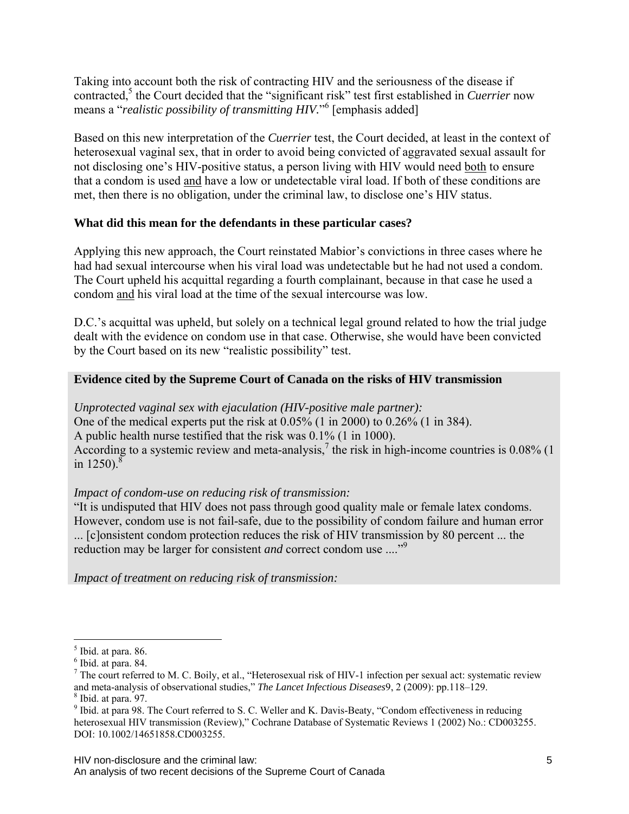Taking into account both the risk of contracting HIV and the seriousness of the disease if contracted,<sup>5</sup> the Court decided that the "significant risk" test first established in *Cuerrier* now means a "*realistic possibility of transmitting HIV*."<sup>6</sup> [emphasis added]

Based on this new interpretation of the *Cuerrier* test, the Court decided, at least in the context of heterosexual vaginal sex, that in order to avoid being convicted of aggravated sexual assault for not disclosing one's HIV-positive status, a person living with HIV would need both to ensure that a condom is used and have a low or undetectable viral load. If both of these conditions are met, then there is no obligation, under the criminal law, to disclose one's HIV status.

### **What did this mean for the defendants in these particular cases?**

Applying this new approach, the Court reinstated Mabior's convictions in three cases where he had had sexual intercourse when his viral load was undetectable but he had not used a condom. The Court upheld his acquittal regarding a fourth complainant, because in that case he used a condom and his viral load at the time of the sexual intercourse was low.

D.C.'s acquittal was upheld, but solely on a technical legal ground related to how the trial judge dealt with the evidence on condom use in that case. Otherwise, she would have been convicted by the Court based on its new "realistic possibility" test.

### **Evidence cited by the Supreme Court of Canada on the risks of HIV transmission**

*Unprotected vaginal sex with ejaculation (HIV-positive male partner):*  One of the medical experts put the risk at  $0.05\%$  (1 in 2000) to  $0.26\%$  (1 in 384). A public health nurse testified that the risk was 0.1% (1 in 1000). According to a systemic review and meta-analysis,<sup>7</sup> the risk in high-income countries is 0.08% (1) in  $1250$ ).<sup>8</sup>

# *Impact of condom-use on reducing risk of transmission:*

"It is undisputed that HIV does not pass through good quality male or female latex condoms. However, condom use is not fail-safe, due to the possibility of condom failure and human error ... [c]onsistent condom protection reduces the risk of HIV transmission by 80 percent ... the reduction may be larger for consistent *and* correct condom use ...."9

*Impact of treatment on reducing risk of transmission:* 

 $\overline{a}$ 

 $<sup>5</sup>$  Ibid. at para. 86.</sup>

 $<sup>6</sup>$  Ibid. at para. 84.</sup>

 $^7$  The court referred to M. C. Boily, et al., "Heterosexual risk of HIV-1 infection per sexual act: systematic review and meta-analysis of observational studies," *The Lancet Infectious Diseases*9, 2 (2009): pp.118–129. 8  $8$  Ibid. at para. 97.

<sup>&</sup>lt;sup>9</sup> Ibid. at para 98. The Court referred to S. C. Weller and K. Davis-Beaty, "Condom effectiveness in reducing heterosexual HIV transmission (Review)," Cochrane Database of Systematic Reviews 1 (2002) No.: CD003255. DOI: 10.1002/14651858.CD003255.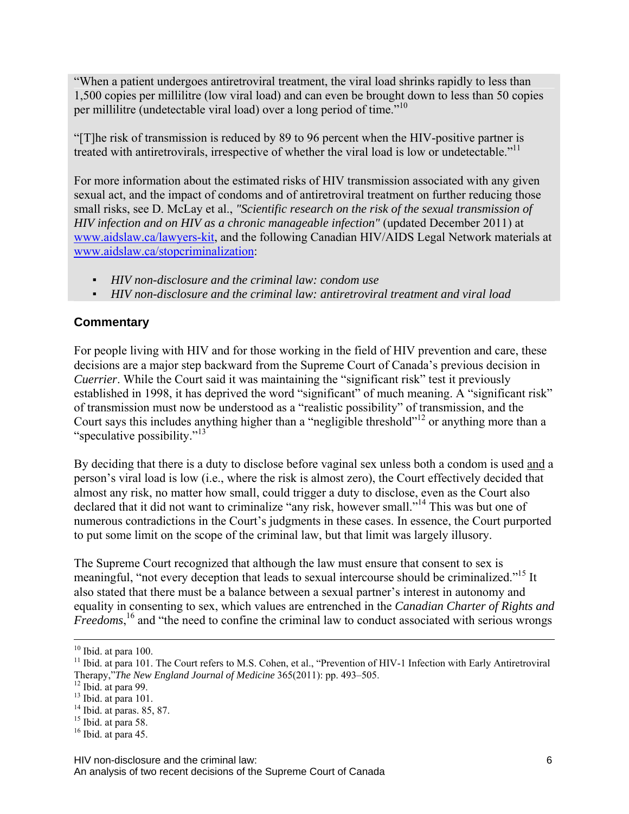"When a patient undergoes antiretroviral treatment, the viral load shrinks rapidly to less than 1,500 copies per millilitre (low viral load) and can even be brought down to less than 50 copies per millilitre (undetectable viral load) over a long period of time."<sup>10</sup>

"[T]he risk of transmission is reduced by 89 to 96 percent when the HIV-positive partner is treated with antiretrovirals, irrespective of whether the viral load is low or undetectable."<sup>11</sup>

For more information about the estimated risks of HIV transmission associated with any given sexual act, and the impact of condoms and of antiretroviral treatment on further reducing those small risks, see D. McLay et al., *"Scientific research on the risk of the sexual transmission of HIV infection and on HIV as a chronic manageable infection"* (updated December 2011) at www.aidslaw.ca/lawyers-kit, and the following Canadian HIV/AIDS Legal Network materials at www.aidslaw.ca/stopcriminalization:

- *HIV non-disclosure and the criminal law: condom use*
- *HIV non-disclosure and the criminal law: antiretroviral treatment and viral load*

# **Commentary**

For people living with HIV and for those working in the field of HIV prevention and care, these decisions are a major step backward from the Supreme Court of Canada's previous decision in *Cuerrier*. While the Court said it was maintaining the "significant risk" test it previously established in 1998, it has deprived the word "significant" of much meaning. A "significant risk" of transmission must now be understood as a "realistic possibility" of transmission, and the Court says this includes anything higher than a "negligible threshold"12 or anything more than a "speculative possibility."<sup>13"</sup>

By deciding that there is a duty to disclose before vaginal sex unless both a condom is used and a person's viral load is low (i.e., where the risk is almost zero), the Court effectively decided that almost any risk, no matter how small, could trigger a duty to disclose, even as the Court also declared that it did not want to criminalize "any risk, however small."<sup>14</sup> This was but one of numerous contradictions in the Court's judgments in these cases. In essence, the Court purported to put some limit on the scope of the criminal law, but that limit was largely illusory.

The Supreme Court recognized that although the law must ensure that consent to sex is meaningful, "not every deception that leads to sexual intercourse should be criminalized."<sup>15</sup> It also stated that there must be a balance between a sexual partner's interest in autonomy and equality in consenting to sex, which values are entrenched in the *Canadian Charter of Rights and Freedoms*, 16 and "the need to confine the criminal law to conduct associated with serious wrongs

<sup>&</sup>lt;sup>10</sup> Ibid. at para 100.

<sup>&</sup>lt;sup>11</sup> Ibid. at para 101. The Court refers to M.S. Cohen, et al., "Prevention of HIV-1 Infection with Early Antiretroviral Therapy,"*The New England Journal of Medicine* 365(2011): pp. 493–505. 12 Ibid. at para 99.

 $13$  Ibid. at para 101.

 $14$  Ibid. at paras. 85, 87.

<sup>&</sup>lt;sup>15</sup> Ibid. at para 58.

 $16$  Ibid. at para 45.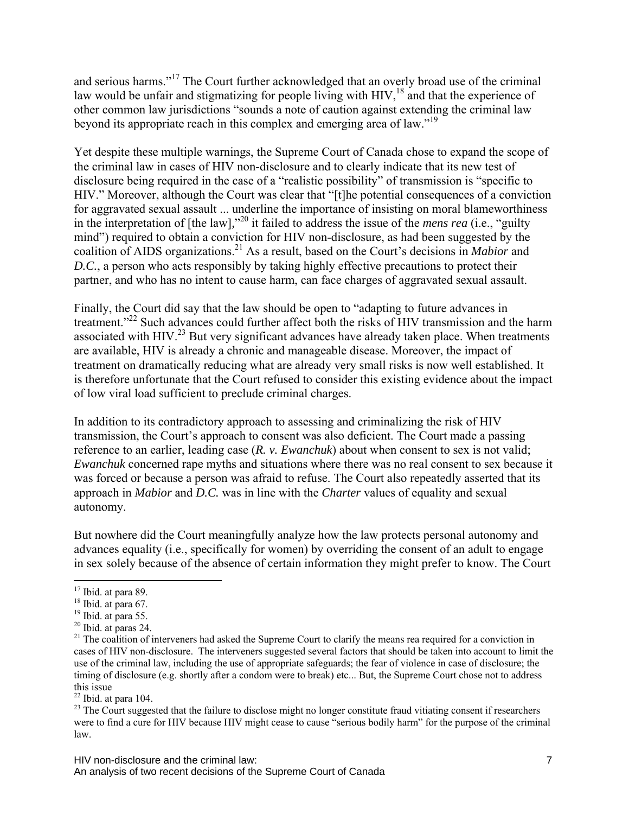and serious harms."17 The Court further acknowledged that an overly broad use of the criminal law would be unfair and stigmatizing for people living with HIV,<sup>18</sup> and that the experience of other common law jurisdictions "sounds a note of caution against extending the criminal law beyond its appropriate reach in this complex and emerging area of law."<sup>19</sup>

Yet despite these multiple warnings, the Supreme Court of Canada chose to expand the scope of the criminal law in cases of HIV non-disclosure and to clearly indicate that its new test of disclosure being required in the case of a "realistic possibility" of transmission is "specific to HIV." Moreover, although the Court was clear that "[t]he potential consequences of a conviction for aggravated sexual assault ... underline the importance of insisting on moral blameworthiness in the interpretation of [the law]*,*" 20 it failed to address the issue of the *mens rea* (i.e., "guilty mind") required to obtain a conviction for HIV non-disclosure, as had been suggested by the coalition of AIDS organizations.21 As a result, based on the Court's decisions in *Mabior* and *D.C.*, a person who acts responsibly by taking highly effective precautions to protect their partner, and who has no intent to cause harm, can face charges of aggravated sexual assault.

Finally, the Court did say that the law should be open to "adapting to future advances in treatment."<sup>22</sup> Such advances could further affect both the risks of HIV transmission and the harm associated with HIV.<sup>23</sup> But very significant advances have already taken place. When treatments are available, HIV is already a chronic and manageable disease. Moreover, the impact of treatment on dramatically reducing what are already very small risks is now well established. It is therefore unfortunate that the Court refused to consider this existing evidence about the impact of low viral load sufficient to preclude criminal charges.

In addition to its contradictory approach to assessing and criminalizing the risk of HIV transmission, the Court's approach to consent was also deficient. The Court made a passing reference to an earlier, leading case (*R. v. Ewanchuk*) about when consent to sex is not valid; *Ewanchuk* concerned rape myths and situations where there was no real consent to sex because it was forced or because a person was afraid to refuse. The Court also repeatedly asserted that its approach in *Mabior* and *D.C.* was in line with the *Charter* values of equality and sexual autonomy.

But nowhere did the Court meaningfully analyze how the law protects personal autonomy and advances equality (i.e., specifically for women) by overriding the consent of an adult to engage in sex solely because of the absence of certain information they might prefer to know. The Court

 $\overline{a}$ 

<sup>&</sup>lt;sup>17</sup> Ibid. at para 89.

 $18$  Ibid. at para 67.

<sup>&</sup>lt;sup>19</sup> Ibid. at para 55.

 $20$  Ibid. at paras 24.

<sup>&</sup>lt;sup>21</sup> The coalition of interveners had asked the Supreme Court to clarify the means rea required for a conviction in cases of HIV non-disclosure. The interveners suggested several factors that should be taken into account to limit the use of the criminal law, including the use of appropriate safeguards; the fear of violence in case of disclosure; the timing of disclosure (e.g. shortly after a condom were to break) etc... But, the Supreme Court chose not to address this issue

 $22$  Ibid. at para 104.

<sup>&</sup>lt;sup>23</sup> The Court suggested that the failure to disclose might no longer constitute fraud vitiating consent if researchers were to find a cure for HIV because HIV might cease to cause "serious bodily harm" for the purpose of the criminal law.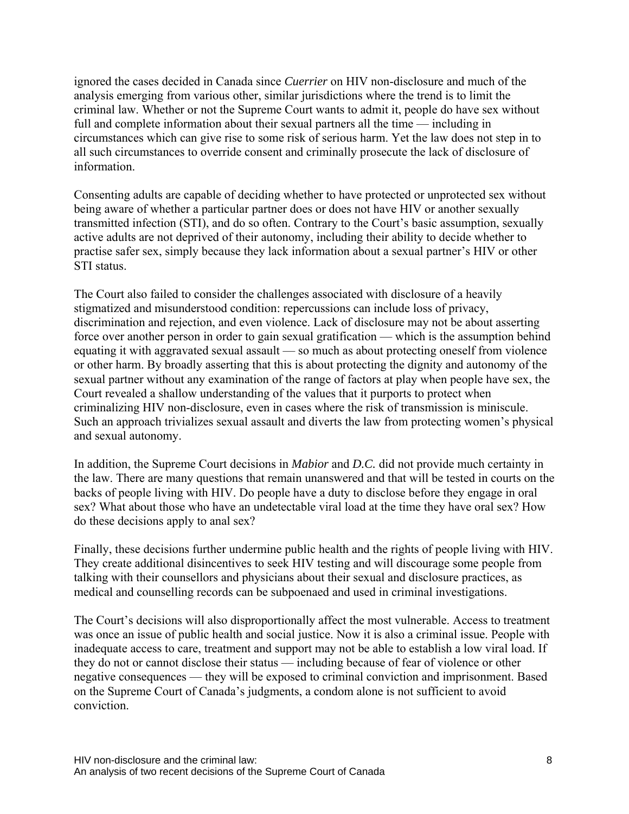ignored the cases decided in Canada since *Cuerrier* on HIV non-disclosure and much of the analysis emerging from various other, similar jurisdictions where the trend is to limit the criminal law. Whether or not the Supreme Court wants to admit it, people do have sex without full and complete information about their sexual partners all the time — including in circumstances which can give rise to some risk of serious harm. Yet the law does not step in to all such circumstances to override consent and criminally prosecute the lack of disclosure of information.

Consenting adults are capable of deciding whether to have protected or unprotected sex without being aware of whether a particular partner does or does not have HIV or another sexually transmitted infection (STI), and do so often. Contrary to the Court's basic assumption, sexually active adults are not deprived of their autonomy, including their ability to decide whether to practise safer sex, simply because they lack information about a sexual partner's HIV or other STI status.

The Court also failed to consider the challenges associated with disclosure of a heavily stigmatized and misunderstood condition: repercussions can include loss of privacy, discrimination and rejection, and even violence. Lack of disclosure may not be about asserting force over another person in order to gain sexual gratification — which is the assumption behind equating it with aggravated sexual assault — so much as about protecting oneself from violence or other harm. By broadly asserting that this is about protecting the dignity and autonomy of the sexual partner without any examination of the range of factors at play when people have sex, the Court revealed a shallow understanding of the values that it purports to protect when criminalizing HIV non-disclosure, even in cases where the risk of transmission is miniscule. Such an approach trivializes sexual assault and diverts the law from protecting women's physical and sexual autonomy.

In addition, the Supreme Court decisions in *Mabior* and *D.C.* did not provide much certainty in the law. There are many questions that remain unanswered and that will be tested in courts on the backs of people living with HIV. Do people have a duty to disclose before they engage in oral sex? What about those who have an undetectable viral load at the time they have oral sex? How do these decisions apply to anal sex?

Finally, these decisions further undermine public health and the rights of people living with HIV. They create additional disincentives to seek HIV testing and will discourage some people from talking with their counsellors and physicians about their sexual and disclosure practices, as medical and counselling records can be subpoenaed and used in criminal investigations.

The Court's decisions will also disproportionally affect the most vulnerable. Access to treatment was once an issue of public health and social justice. Now it is also a criminal issue. People with inadequate access to care, treatment and support may not be able to establish a low viral load. If they do not or cannot disclose their status — including because of fear of violence or other negative consequences — they will be exposed to criminal conviction and imprisonment. Based on the Supreme Court of Canada's judgments, a condom alone is not sufficient to avoid conviction.